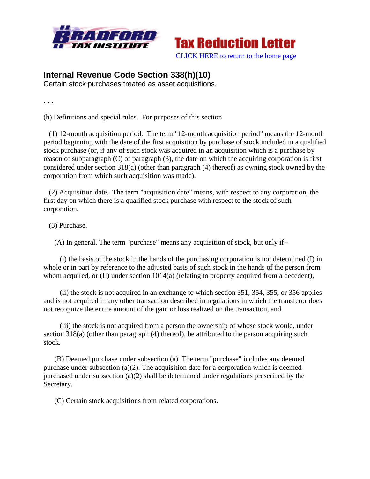



## **Internal Revenue Code Section 338(h)(10)**

Certain stock purchases treated as asset acquisitions.

. . .

(h) Definitions and special rules. For purposes of this section

 (1) 12-month acquisition period. The term "12-month acquisition period" means the 12-month period beginning with the date of the first acquisition by purchase of stock included in a qualified stock purchase (or, if any of such stock was acquired in an acquisition which is a purchase by reason of subparagraph (C) of paragraph (3), the date on which the acquiring corporation is first considered under section 318(a) (other than paragraph (4) thereof) as owning stock owned by the corporation from which such acquisition was made).

 (2) Acquisition date. The term "acquisition date" means, with respect to any corporation, the first day on which there is a qualified stock purchase with respect to the stock of such corporation.

(3) Purchase.

(A) In general. The term "purchase" means any acquisition of stock, but only if--

 (i) the basis of the stock in the hands of the purchasing corporation is not determined (I) in whole or in part by reference to the adjusted basis of such stock in the hands of the person from whom acquired, or (II) under section  $1014(a)$  (relating to property acquired from a decedent),

 (ii) the stock is not acquired in an exchange to which section 351, 354, 355, or 356 applies and is not acquired in any other transaction described in regulations in which the transferor does not recognize the entire amount of the gain or loss realized on the transaction, and

 (iii) the stock is not acquired from a person the ownership of whose stock would, under section 318(a) (other than paragraph (4) thereof), be attributed to the person acquiring such stock.

 (B) Deemed purchase under subsection (a). The term "purchase" includes any deemed purchase under subsection (a)(2). The acquisition date for a corporation which is deemed purchased under subsection (a)(2) shall be determined under regulations prescribed by the Secretary.

(C) Certain stock acquisitions from related corporations.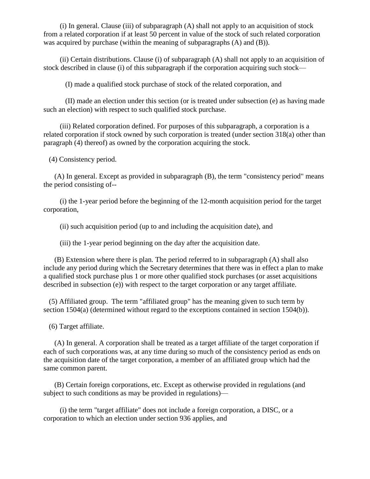(i) In general. Clause (iii) of subparagraph (A) shall not apply to an acquisition of stock from a related corporation if at least 50 percent in value of the stock of such related corporation was acquired by purchase (within the meaning of subparagraphs (A) and (B)).

 (ii) Certain distributions. Clause (i) of subparagraph (A) shall not apply to an acquisition of stock described in clause (i) of this subparagraph if the corporation acquiring such stock—

(I) made a qualified stock purchase of stock of the related corporation, and

 (II) made an election under this section (or is treated under subsection (e) as having made such an election) with respect to such qualified stock purchase.

 (iii) Related corporation defined. For purposes of this subparagraph, a corporation is a related corporation if stock owned by such corporation is treated (under section 318(a) other than paragraph (4) thereof) as owned by the corporation acquiring the stock.

(4) Consistency period.

 (A) In general. Except as provided in subparagraph (B), the term "consistency period" means the period consisting of--

 (i) the 1-year period before the beginning of the 12-month acquisition period for the target corporation,

(ii) such acquisition period (up to and including the acquisition date), and

(iii) the 1-year period beginning on the day after the acquisition date.

 (B) Extension where there is plan. The period referred to in subparagraph (A) shall also include any period during which the Secretary determines that there was in effect a plan to make a qualified stock purchase plus 1 or more other qualified stock purchases (or asset acquisitions described in subsection (e)) with respect to the target corporation or any target affiliate.

 (5) Affiliated group. The term "affiliated group" has the meaning given to such term by section 1504(a) (determined without regard to the exceptions contained in section 1504(b)).

(6) Target affiliate.

 (A) In general. A corporation shall be treated as a target affiliate of the target corporation if each of such corporations was, at any time during so much of the consistency period as ends on the acquisition date of the target corporation, a member of an affiliated group which had the same common parent.

 (B) Certain foreign corporations, etc. Except as otherwise provided in regulations (and subject to such conditions as may be provided in regulations)—

 (i) the term "target affiliate" does not include a foreign corporation, a DISC, or a corporation to which an election under section 936 applies, and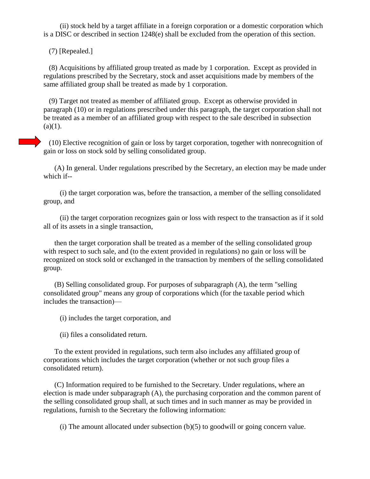(ii) stock held by a target affiliate in a foreign corporation or a domestic corporation which is a DISC or described in section 1248(e) shall be excluded from the operation of this section.

(7) [Repealed.]

 (8) Acquisitions by affiliated group treated as made by 1 corporation. Except as provided in regulations prescribed by the Secretary, stock and asset acquisitions made by members of the same affiliated group shall be treated as made by 1 corporation.

 (9) Target not treated as member of affiliated group. Except as otherwise provided in paragraph (10) or in regulations prescribed under this paragraph, the target corporation shall not be treated as a member of an affiliated group with respect to the sale described in subsection  $(a)(1)$ .

 (10) Elective recognition of gain or loss by target corporation, together with nonrecognition of gain or loss on stock sold by selling consolidated group.

 (A) In general. Under regulations prescribed by the Secretary, an election may be made under which if--

 (i) the target corporation was, before the transaction, a member of the selling consolidated group, and

 (ii) the target corporation recognizes gain or loss with respect to the transaction as if it sold all of its assets in a single transaction,

 then the target corporation shall be treated as a member of the selling consolidated group with respect to such sale, and (to the extent provided in regulations) no gain or loss will be recognized on stock sold or exchanged in the transaction by members of the selling consolidated group.

 (B) Selling consolidated group. For purposes of subparagraph (A), the term "selling consolidated group" means any group of corporations which (for the taxable period which includes the transaction)—

(i) includes the target corporation, and

(ii) files a consolidated return.

 To the extent provided in regulations, such term also includes any affiliated group of corporations which includes the target corporation (whether or not such group files a consolidated return).

 (C) Information required to be furnished to the Secretary. Under regulations, where an election is made under subparagraph (A), the purchasing corporation and the common parent of the selling consolidated group shall, at such times and in such manner as may be provided in regulations, furnish to the Secretary the following information:

(i) The amount allocated under subsection (b)(5) to goodwill or going concern value.